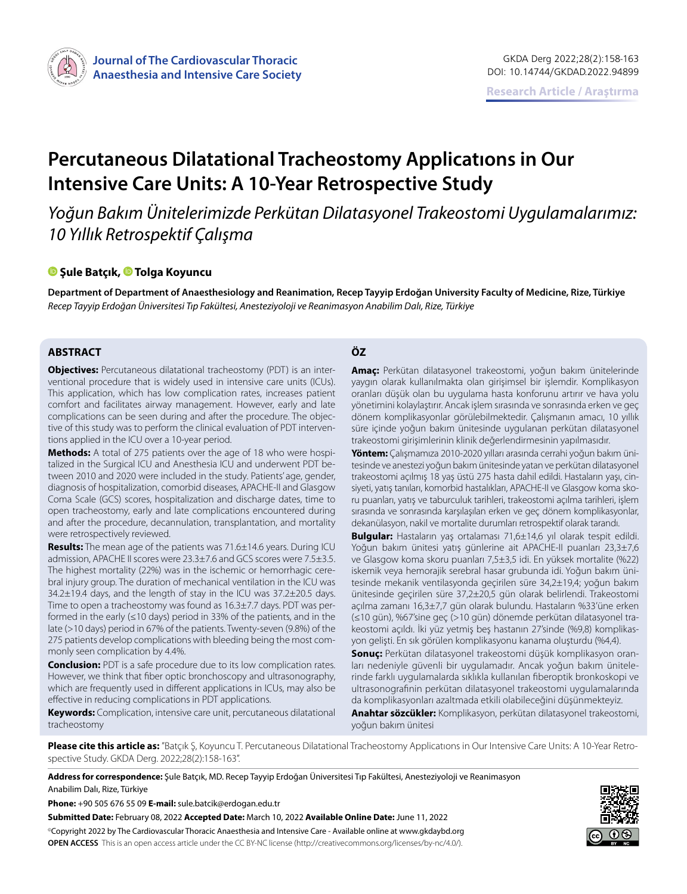

# **Percutaneous Dilatational Tracheostomy Applicatıons in Our Intensive Care Units: A 10-Year Retrospective Study**

*Yoğun Bakım Ünitelerimizde Perkütan Dilatasyonel Trakeostomi Uygulamalarımız: 10 Yıllık Retrospektif Çalışma*

#### **Şule Batçık[, T](https://orcid.org/0000-0002-0019-9684)olga Koyuncu**

**Department of Department of Anaesthesiology and Reanimation, Recep Tayyip Erdoğan University Faculty of Medicine, Rize, Türkiye** *Recep Tayyip Erdoğan Üniversitesi Tıp Fakültesi, Anesteziyoloji ve Reanimasyon Anabilim Dalı, Rize, Türkiye*

# **ABSTRACT ÖZ**

**Objectives:** Percutaneous dilatational tracheostomy (PDT) is an interventional procedure that is widely used in intensive care units (ICUs). This application, which has low complication rates, increases patient comfort and facilitates airway management. However, early and late complications can be seen during and after the procedure. The objective of this study was to perform the clinical evaluation of PDT interventions applied in the ICU over a 10-year period.

**Methods:** A total of 275 patients over the age of 18 who were hospitalized in the Surgical ICU and Anesthesia ICU and underwent PDT between 2010 and 2020 were included in the study. Patients' age, gender, diagnosis of hospitalization, comorbid diseases, APACHE-II and Glasgow Coma Scale (GCS) scores, hospitalization and discharge dates, time to open tracheostomy, early and late complications encountered during and after the procedure, decannulation, transplantation, and mortality were retrospectively reviewed.

**Results:** The mean age of the patients was 71.6±14.6 years. During ICU admission, APACHE II scores were 23.3±7.6 and GCS scores were 7.5±3.5. The highest mortality (22%) was in the ischemic or hemorrhagic cerebral injury group. The duration of mechanical ventilation in the ICU was 34.2±19.4 days, and the length of stay in the ICU was 37.2±20.5 days. Time to open a tracheostomy was found as 16.3±7.7 days. PDT was performed in the early ( $\leq$ 10 days) period in 33% of the patients, and in the late (>10 days) period in 67% of the patients. Twenty-seven (9.8%) of the 275 patients develop complications with bleeding being the most commonly seen complication by 4.4%.

**Conclusion:** PDT is a safe procedure due to its low complication rates. However, we think that fiber optic bronchoscopy and ultrasonography, which are frequently used in different applications in ICUs, may also be effective in reducing complications in PDT applications.

**Keywords:** Complication, intensive care unit, percutaneous dilatational tracheostomy

**Amaç:** Perkütan dilatasyonel trakeostomi, yoğun bakım ünitelerinde yaygın olarak kullanılmakta olan girişimsel bir işlemdir. Komplikasyon oranları düşük olan bu uygulama hasta konforunu artırır ve hava yolu yönetimini kolaylaştırır. Ancak işlem sırasında ve sonrasında erken ve geç dönem komplikasyonlar görülebilmektedir. Çalışmanın amacı, 10 yıllık süre içinde yoğun bakım ünitesinde uygulanan perkütan dilatasyonel trakeostomi girişimlerinin klinik değerlendirmesinin yapılmasıdır.

**Yöntem:** Çalışmamıza 2010-2020 yılları arasında cerrahi yoğun bakım ünitesinde ve anestezi yoğun bakım ünitesinde yatan ve perkütan dilatasyonel trakeostomi açılmış 18 yaş üstü 275 hasta dahil edildi. Hastaların yaşı, cinsiyeti, yatış tanıları, komorbid hastalıkları, APACHE-II ve Glasgow koma skoru puanları, yatış ve taburculuk tarihleri, trakeostomi açılma tarihleri, işlem sırasında ve sonrasında karşılaşılan erken ve geç dönem komplikasyonlar, dekanülasyon, nakil ve mortalite durumları retrospektif olarak tarandı.

**Bulgular:** Hastaların yaş ortalaması 71,6±14,6 yıl olarak tespit edildi. Yoğun bakım ünitesi yatış günlerine ait APACHE-II puanları 23,3±7,6 ve Glasgow koma skoru puanları 7,5±3,5 idi. En yüksek mortalite (%22) iskemik veya hemorajik serebral hasar grubunda idi. Yoğun bakım ünitesinde mekanik ventilasyonda geçirilen süre 34,2±19,4; yoğun bakım ünitesinde geçirilen süre 37,2±20,5 gün olarak belirlendi. Trakeostomi açılma zamanı 16,3±7,7 gün olarak bulundu. Hastaların %33'üne erken (≤10 gün), %67'sine geç (>10 gün) dönemde perkütan dilatasyonel trakeostomi açıldı. İki yüz yetmiş beş hastanın 27'sinde (%9,8) komplikasyon gelişti. En sık görülen komplikasyonu kanama oluşturdu (%4,4).

**Sonuç:** Perkütan dilatasyonel trakeostomi düşük komplikasyon oranları nedeniyle güvenli bir uygulamadır. Ancak yoğun bakım ünitelerinde farklı uygulamalarda sıklıkla kullanılan fiberoptik bronkoskopi ve ultrasonografinin perkütan dilatasyonel trakeostomi uygulamalarında da komplikasyonları azaltmada etkili olabileceğini düşünmekteyiz.

**Anahtar sözcükler:** Komplikasyon, perkütan dilatasyonel trakeostomi, yoğun bakım ünitesi

**Please cite this article as:** "Batçık Ş, Koyuncu T. Percutaneous Dilatational Tracheostomy Applicatıons in Our Intensive Care Units: A 10-Year Retrospective Study. GKDA Derg. 2022;28(2):158-163".

**Address for correspondence:** Şule Batçık, MD. Recep Tayyip Erdoğan Üniversitesi Tıp Fakültesi, Anesteziyoloji ve Reanimasyon Anabilim Dalı, Rize, Türkiye

**Phone:** +90 505 676 55 09 **E-mail:** sule.batcik@erdogan.edu.tr

**Submitted Date:** February 08, 2022 **Accepted Date:** March 10, 2022 **Available Online Date:** June 11, 2022 ©Copyright 2022 by The Cardiovascular Thoracic Anaesthesia and Intensive Care - Available online at www.gkdaybd.org **OPEN ACCESS** This is an open access article under the CC BY-NC license (http://creativecommons.org/licenses/by-nc/4.0/).

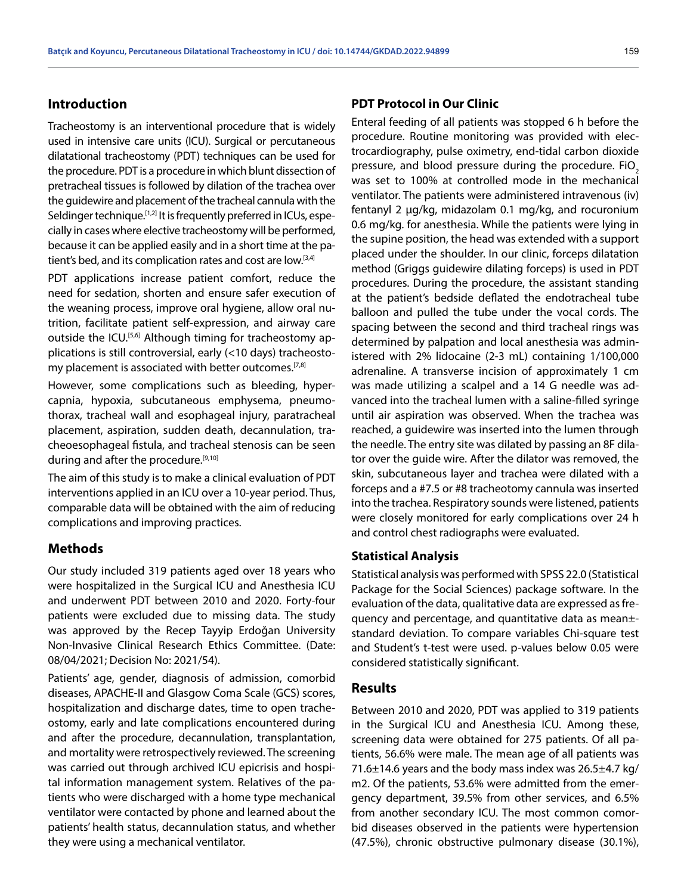# **Introduction**

Tracheostomy is an interventional procedure that is widely used in intensive care units (ICU). Surgical or percutaneous dilatational tracheostomy (PDT) techniques can be used for the procedure. PDT is a procedure in which blunt dissection of pretracheal tissues is followed by dilation of the trachea over the guidewire and placement of the tracheal cannula with the Seldinger technique.<sup>[1,2]</sup> It is frequently preferred in ICUs, especially in cases where elective tracheostomy will be performed, because it can be applied easily and in a short time at the patient's bed, and its complication rates and cost are low.<sup>[3,4]</sup>

PDT applications increase patient comfort, reduce the need for sedation, shorten and ensure safer execution of the weaning process, improve oral hygiene, allow oral nutrition, facilitate patient self-expression, and airway care outside the ICU.<sup>[5,6]</sup> Although timing for tracheostomy applications is still controversial, early (<10 days) tracheostomy placement is associated with better outcomes.<sup>[7,8]</sup>

However, some complications such as bleeding, hypercapnia, hypoxia, subcutaneous emphysema, pneumothorax, tracheal wall and esophageal injury, paratracheal placement, aspiration, sudden death, decannulation, tracheoesophageal fistula, and tracheal stenosis can be seen during and after the procedure.<sup>[9,10]</sup>

The aim of this study is to make a clinical evaluation of PDT interventions applied in an ICU over a 10-year period. Thus, comparable data will be obtained with the aim of reducing complications and improving practices.

#### **Methods**

Our study included 319 patients aged over 18 years who were hospitalized in the Surgical ICU and Anesthesia ICU and underwent PDT between 2010 and 2020. Forty-four patients were excluded due to missing data. The study was approved by the Recep Tayyip Erdoğan University Non-Invasive Clinical Research Ethics Committee. (Date: 08/04/2021; Decision No: 2021/54).

Patients' age, gender, diagnosis of admission, comorbid diseases, APACHE-II and Glasgow Coma Scale (GCS) scores, hospitalization and discharge dates, time to open tracheostomy, early and late complications encountered during and after the procedure, decannulation, transplantation, and mortality were retrospectively reviewed. The screening was carried out through archived ICU epicrisis and hospital information management system. Relatives of the patients who were discharged with a home type mechanical ventilator were contacted by phone and learned about the patients' health status, decannulation status, and whether they were using a mechanical ventilator.

## **PDT Protocol in Our Clinic**

Enteral feeding of all patients was stopped 6 h before the procedure. Routine monitoring was provided with electrocardiography, pulse oximetry, end-tidal carbon dioxide pressure, and blood pressure during the procedure. FiO<sub>2</sub> was set to 100% at controlled mode in the mechanical ventilator. The patients were administered intravenous (iv) fentanyl 2 μg/kg, midazolam 0.1 mg/kg, and rocuronium 0.6 mg/kg. for anesthesia. While the patients were lying in the supine position, the head was extended with a support placed under the shoulder. In our clinic, forceps dilatation method (Griggs guidewire dilating forceps) is used in PDT procedures. During the procedure, the assistant standing at the patient's bedside deflated the endotracheal tube balloon and pulled the tube under the vocal cords. The spacing between the second and third tracheal rings was determined by palpation and local anesthesia was administered with 2% lidocaine (2-3 mL) containing 1/100,000 adrenaline. A transverse incision of approximately 1 cm was made utilizing a scalpel and a 14 G needle was advanced into the tracheal lumen with a saline-filled syringe until air aspiration was observed. When the trachea was reached, a guidewire was inserted into the lumen through the needle. The entry site was dilated by passing an 8F dilator over the guide wire. After the dilator was removed, the skin, subcutaneous layer and trachea were dilated with a forceps and a #7.5 or #8 tracheotomy cannula was inserted into the trachea. Respiratory sounds were listened, patients were closely monitored for early complications over 24 h and control chest radiographs were evaluated.

# **Statistical Analysis**

Statistical analysis was performed with SPSS 22.0 (Statistical Package for the Social Sciences) package software. In the evaluation of the data, qualitative data are expressed as frequency and percentage, and quantitative data as mean± standard deviation. To compare variables Chi-square test and Student's t-test were used. p-values below 0.05 were considered statistically significant.

#### **Results**

Between 2010 and 2020, PDT was applied to 319 patients in the Surgical ICU and Anesthesia ICU. Among these, screening data were obtained for 275 patients. Of all patients, 56.6% were male. The mean age of all patients was 71.6±14.6 years and the body mass index was 26.5±4.7 kg/ m2. Of the patients, 53.6% were admitted from the emergency department, 39.5% from other services, and 6.5% from another secondary ICU. The most common comorbid diseases observed in the patients were hypertension (47.5%), chronic obstructive pulmonary disease (30.1%),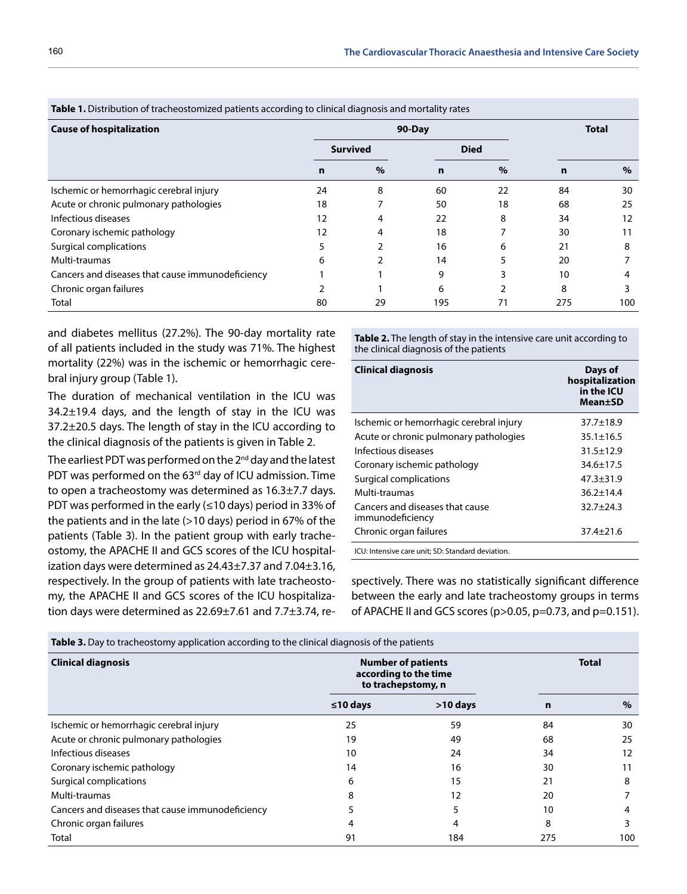| <b>Table 1.</b> Distribution of tracheostomized patients according to emilear diagnosis and mortality rates |      |             |      |              |      |  |  |
|-------------------------------------------------------------------------------------------------------------|------|-------------|------|--------------|------|--|--|
| $90$ -Day                                                                                                   |      |             |      | <b>Total</b> |      |  |  |
| <b>Survived</b>                                                                                             |      | <b>Died</b> |      |              |      |  |  |
| n                                                                                                           | $\%$ | $\mathbf n$ | $\%$ | n            | $\%$ |  |  |
| 24                                                                                                          | 8    | 60          | 22   | 84           | 30   |  |  |
| 18                                                                                                          |      | 50          | 18   | 68           | 25   |  |  |
| 12                                                                                                          | 4    | 22          | 8    | 34           | 12   |  |  |
| 12                                                                                                          | 4    | 18          |      | 30           | 11   |  |  |
|                                                                                                             |      | 16          | 6    | 21           | 8    |  |  |
| 6                                                                                                           |      | 14          |      | 20           |      |  |  |
|                                                                                                             |      | 9           |      | 10           |      |  |  |
|                                                                                                             |      | 6           |      | 8            |      |  |  |
| 80                                                                                                          | 29   | 195         | 71   | 275          | 100  |  |  |
|                                                                                                             |      |             |      |              |      |  |  |

**Table 1.** Distribution of tracheostomized patients according to clinical diagnosis and mortality rates

and diabetes mellitus (27.2%). The 90-day mortality rate of all patients included in the study was 71%. The highest mortality (22%) was in the ischemic or hemorrhagic cerebral injury group (Table 1).

The duration of mechanical ventilation in the ICU was 34.2±19.4 days, and the length of stay in the ICU was 37.2±20.5 days. The length of stay in the ICU according to the clinical diagnosis of the patients is given in Table 2.

The earliest PDT was performed on the 2<sup>nd</sup> day and the latest PDT was performed on the 63<sup>rd</sup> day of ICU admission. Time to open a tracheostomy was determined as 16.3±7.7 days. PDT was performed in the early ( $\leq$ 10 days) period in 33% of the patients and in the late (>10 days) period in 67% of the patients (Table 3). In the patient group with early tracheostomy, the APACHE II and GCS scores of the ICU hospitalization days were determined as 24.43±7.37 and 7.04±3.16, respectively. In the group of patients with late tracheostomy, the APACHE II and GCS scores of the ICU hospitalization days were determined as 22.69±7.61 and 7.7±3.74, re**Table 2.** The length of stay in the intensive care unit according to the clinical diagnosis of the patients

| <b>Clinical diagnosis</b>                           | Days of<br>hospitalization<br>in the ICU<br>Mean±SD |
|-----------------------------------------------------|-----------------------------------------------------|
| Ischemic or hemorrhagic cerebral injury             | $37.7 \pm 18.9$                                     |
| Acute or chronic pulmonary pathologies              | $35.1 \pm 16.5$                                     |
| Infectious diseases                                 | $31.5 + 12.9$                                       |
| Coronary ischemic pathology                         | $34.6 + 17.5$                                       |
| Surgical complications                              | $47.3 + 31.9$                                       |
| Multi-traumas                                       | $36.2 + 14.4$                                       |
| Cancers and diseases that cause<br>immunodeficiency | $32.7 + 24.3$                                       |
| Chronic organ failures                              | $37.4 \pm 21.6$                                     |
| ICU: Intensive care unit; SD: Standard deviation.   |                                                     |

spectively. There was no statistically significant difference between the early and late tracheostomy groups in terms of APACHE II and GCS scores (p>0.05, p=0.73, and p=0.151).

| <b>Table 3.</b> Day to tracheostomy application according to the cinneal diagnosis of the patients |                                                                          |              |     |      |  |  |  |
|----------------------------------------------------------------------------------------------------|--------------------------------------------------------------------------|--------------|-----|------|--|--|--|
| <b>Clinical diagnosis</b>                                                                          | <b>Number of patients</b><br>according to the time<br>to trachepstomy, n | <b>Total</b> |     |      |  |  |  |
|                                                                                                    | $\leq 10$ days                                                           | $>10$ days   | n   | $\%$ |  |  |  |
| Ischemic or hemorrhagic cerebral injury                                                            | 25                                                                       | 59           | 84  | 30   |  |  |  |
| Acute or chronic pulmonary pathologies                                                             | 19                                                                       | 49           | 68  | 25   |  |  |  |
| Infectious diseases                                                                                | 10                                                                       | 24           | 34  | 12   |  |  |  |
| Coronary ischemic pathology                                                                        | 14                                                                       | 16           | 30  | 11   |  |  |  |
| Surgical complications                                                                             | 6                                                                        | 15           | 21  | 8    |  |  |  |
| Multi-traumas                                                                                      | 8                                                                        | 12           | 20  |      |  |  |  |
| Cancers and diseases that cause immunodeficiency                                                   |                                                                          |              | 10  | 4    |  |  |  |
| Chronic organ failures                                                                             | 4                                                                        |              | 8   | 3    |  |  |  |
| Total                                                                                              | 91                                                                       | 184          | 275 | 100  |  |  |  |

**Table 3.** Day to tracheostomy application according to the clinical diagnosis of the patients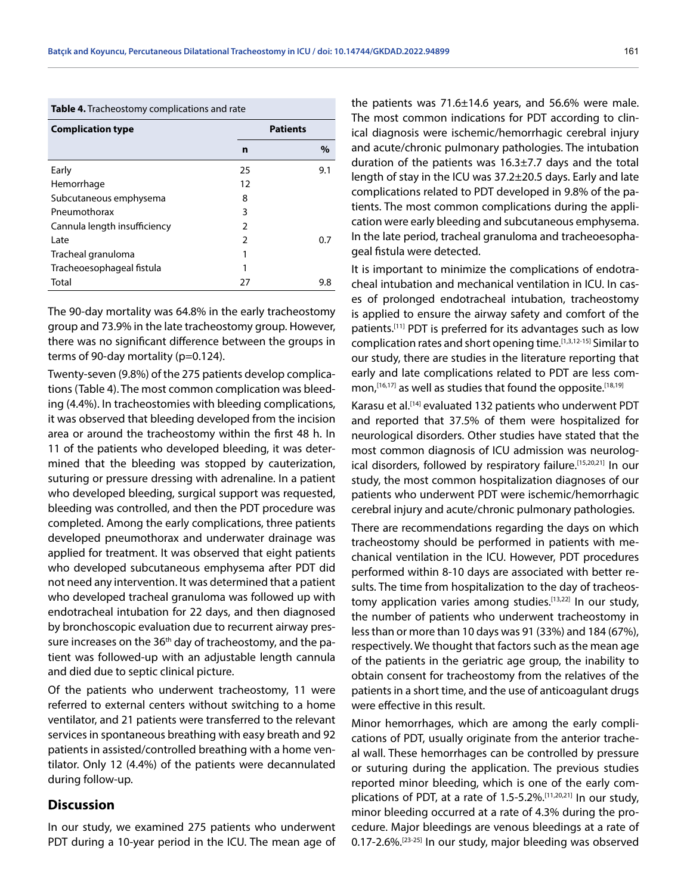**Table 4.** Tracheostomy complications and rate

| <b>Complication type</b>     |    | <b>Patients</b> |
|------------------------------|----|-----------------|
|                              | n  | $\%$            |
| Early                        | 25 | 9.1             |
| Hemorrhage                   | 12 |                 |
| Subcutaneous emphysema       | 8  |                 |
| Pneumothorax                 | 3  |                 |
| Cannula length insufficiency | 2  |                 |
| Late                         | 2  | 0.7             |
| Tracheal granuloma           |    |                 |
| Tracheoesophageal fistula    | 1  |                 |
| Total                        | 27 | 9.8             |

The 90-day mortality was 64.8% in the early tracheostomy group and 73.9% in the late tracheostomy group. However, there was no significant difference between the groups in terms of 90-day mortality (p=0.124).

Twenty-seven (9.8%) of the 275 patients develop complications (Table 4). The most common complication was bleeding (4.4%). In tracheostomies with bleeding complications, it was observed that bleeding developed from the incision area or around the tracheostomy within the first 48 h. In 11 of the patients who developed bleeding, it was determined that the bleeding was stopped by cauterization, suturing or pressure dressing with adrenaline. In a patient who developed bleeding, surgical support was requested, bleeding was controlled, and then the PDT procedure was completed. Among the early complications, three patients developed pneumothorax and underwater drainage was applied for treatment. It was observed that eight patients who developed subcutaneous emphysema after PDT did not need any intervention. It was determined that a patient who developed tracheal granuloma was followed up with endotracheal intubation for 22 days, and then diagnosed by bronchoscopic evaluation due to recurrent airway pressure increases on the  $36<sup>th</sup>$  day of tracheostomy, and the patient was followed-up with an adjustable length cannula and died due to septic clinical picture.

Of the patients who underwent tracheostomy, 11 were referred to external centers without switching to a home ventilator, and 21 patients were transferred to the relevant services in spontaneous breathing with easy breath and 92 patients in assisted/controlled breathing with a home ventilator. Only 12 (4.4%) of the patients were decannulated during follow-up.

## **Discussion**

In our study, we examined 275 patients who underwent PDT during a 10-year period in the ICU. The mean age of the patients was 71.6±14.6 years, and 56.6% were male. The most common indications for PDT according to clinical diagnosis were ischemic/hemorrhagic cerebral injury and acute/chronic pulmonary pathologies. The intubation duration of the patients was 16.3±7.7 days and the total length of stay in the ICU was 37.2±20.5 days. Early and late complications related to PDT developed in 9.8% of the patients. The most common complications during the application were early bleeding and subcutaneous emphysema. In the late period, tracheal granuloma and tracheoesophageal fistula were detected.

It is important to minimize the complications of endotracheal intubation and mechanical ventilation in ICU. In cases of prolonged endotracheal intubation, tracheostomy is applied to ensure the airway safety and comfort of the patients.[11] PDT is preferred for its advantages such as low complication rates and short opening time.[1,3,12-15] Similar to our study, there are studies in the literature reporting that early and late complications related to PDT are less common, [16,17] as well as studies that found the opposite. [18,19]

Karasu et al.[14] evaluated 132 patients who underwent PDT and reported that 37.5% of them were hospitalized for neurological disorders. Other studies have stated that the most common diagnosis of ICU admission was neurological disorders, followed by respiratory failure.<sup>[15,20,21]</sup> In our study, the most common hospitalization diagnoses of our patients who underwent PDT were ischemic/hemorrhagic cerebral injury and acute/chronic pulmonary pathologies.

There are recommendations regarding the days on which tracheostomy should be performed in patients with mechanical ventilation in the ICU. However, PDT procedures performed within 8-10 days are associated with better results. The time from hospitalization to the day of tracheostomy application varies among studies.<sup>[13,22]</sup> In our study, the number of patients who underwent tracheostomy in less than or more than 10 days was 91 (33%) and 184 (67%), respectively. We thought that factors such as the mean age of the patients in the geriatric age group, the inability to obtain consent for tracheostomy from the relatives of the patients in a short time, and the use of anticoagulant drugs were effective in this result.

Minor hemorrhages, which are among the early complications of PDT, usually originate from the anterior tracheal wall. These hemorrhages can be controlled by pressure or suturing during the application. The previous studies reported minor bleeding, which is one of the early complications of PDT, at a rate of 1.5-5.2%.[11,20,21] In our study, minor bleeding occurred at a rate of 4.3% during the procedure. Major bleedings are venous bleedings at a rate of 0.17-2.6%.[23-25] In our study, major bleeding was observed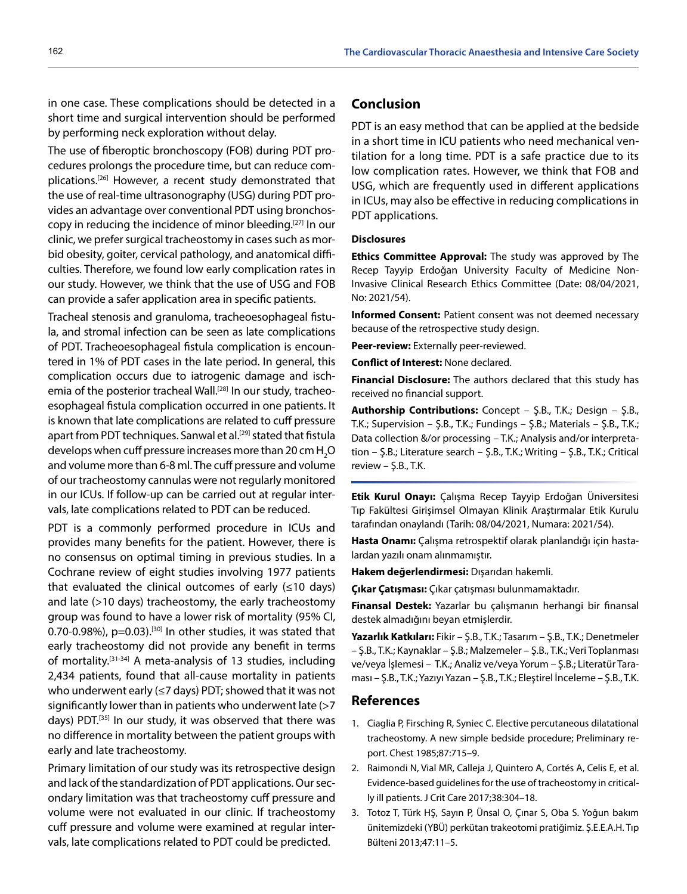in one case. These complications should be detected in a short time and surgical intervention should be performed by performing neck exploration without delay.

The use of fiberoptic bronchoscopy (FOB) during PDT procedures prolongs the procedure time, but can reduce complications.[26] However, a recent study demonstrated that the use of real-time ultrasonography (USG) during PDT provides an advantage over conventional PDT using bronchoscopy in reducing the incidence of minor bleeding.[27] In our clinic, we prefer surgical tracheostomy in cases such as morbid obesity, goiter, cervical pathology, and anatomical difficulties. Therefore, we found low early complication rates in our study. However, we think that the use of USG and FOB can provide a safer application area in specific patients.

Tracheal stenosis and granuloma, tracheoesophageal fistula, and stromal infection can be seen as late complications of PDT. Tracheoesophageal fistula complication is encountered in 1% of PDT cases in the late period. In general, this complication occurs due to iatrogenic damage and ischemia of the posterior tracheal Wall.<sup>[28]</sup> In our study, tracheoesophageal fistula complication occurred in one patients. It is known that late complications are related to cuff pressure apart from PDT techniques. Sanwal et al.<sup>[29]</sup> stated that fistula develops when cuff pressure increases more than 20 cm  $\mathsf{H}_{\mathsf{2}}\mathsf{O}$ and volume more than 6-8 ml. The cuff pressure and volume of our tracheostomy cannulas were not regularly monitored in our ICUs. If follow-up can be carried out at regular intervals, late complications related to PDT can be reduced.

PDT is a commonly performed procedure in ICUs and provides many benefits for the patient. However, there is no consensus on optimal timing in previous studies. In a Cochrane review of eight studies involving 1977 patients that evaluated the clinical outcomes of early  $( \leq 10 \text{ days})$ and late (>10 days) tracheostomy, the early tracheostomy group was found to have a lower risk of mortality (95% CI, 0.70-0.98%),  $p=0.03$ ).<sup>[30]</sup> In other studies, it was stated that early tracheostomy did not provide any benefit in terms of mortality.[31-34] A meta-analysis of 13 studies, including 2,434 patients, found that all-cause mortality in patients who underwent early (≤7 days) PDT; showed that it was not significantly lower than in patients who underwent late (>7 days) PDT.<sup>[35]</sup> In our study, it was observed that there was no difference in mortality between the patient groups with early and late tracheostomy.

Primary limitation of our study was its retrospective design and lack of the standardization of PDT applications. Our secondary limitation was that tracheostomy cuff pressure and volume were not evaluated in our clinic. If tracheostomy cuff pressure and volume were examined at regular intervals, late complications related to PDT could be predicted.

# **Conclusion**

PDT is an easy method that can be applied at the bedside in a short time in ICU patients who need mechanical ventilation for a long time. PDT is a safe practice due to its low complication rates. However, we think that FOB and USG, which are frequently used in different applications in ICUs, may also be effective in reducing complications in PDT applications.

#### **Disclosures**

**Ethics Committee Approval:** The study was approved by The Recep Tayyip Erdoğan University Faculty of Medicine Non-Invasive Clinical Research Ethics Committee (Date: 08/04/2021, No: 2021/54).

**Informed Consent:** Patient consent was not deemed necessary because of the retrospective study design.

**Peer-review:** Externally peer-reviewed.

**Conflict of Interest:** None declared.

**Financial Disclosure:** The authors declared that this study has received no financial support.

**Authorship Contributions:** Concept – Ş.B., T.K.; Design – Ş.B., T.K.; Supervision – Ş.B., T.K.; Fundings – Ş.B.; Materials – Ş.B., T.K.; Data collection &/or processing – T.K.; Analysis and/or interpretation – Ş.B.; Literature search – Ş.B., T.K.; Writing – Ş.B., T.K.; Critical review  $-$  Ş.B., T.K.

**Etik Kurul Onayı:** Çalışma Recep Tayyip Erdoğan Üniversitesi Tıp Fakültesi Girişimsel Olmayan Klinik Araştırmalar Etik Kurulu tarafından onaylandı (Tarih: 08/04/2021, Numara: 2021/54).

**Hasta Onamı:** Çalışma retrospektif olarak planlandığı için hastalardan yazılı onam alınmamıştır.

**Hakem değerlendirmesi:** Dışarıdan hakemli.

**Çıkar Çatışması:** Çıkar çatışması bulunmamaktadır.

**Finansal Destek:** Yazarlar bu çalışmanın herhangi bir finansal destek almadığını beyan etmişlerdir.

**Yazarlık Katkıları:** Fikir – Ş.B., T.K.; Tasarım – Ş.B., T.K.; Denetmeler – Ş.B., T.K.; Kaynaklar – Ş.B.; Malzemeler – Ş.B., T.K.; Veri Toplanması ve/veya İşlemesi – T.K.; Analiz ve/veya Yorum – Ş.B.; Literatür Taraması – Ş.B., T.K.; Yazıyı Yazan – Ş.B., T.K.; Eleştirel İnceleme – Ş.B., T.K.

#### **References**

- 1. Ciaglia P, Firsching R, Syniec C. Elective percutaneous dilatational tracheostomy. A new simple bedside procedure; Preliminary report. Chest 1985;87:715–9.
- 2. Raimondi N, Vial MR, Calleja J, Quintero A, Cortés A, Celis E, et al. Evidence-based guidelines for the use of tracheostomy in critically ill patients. J Crit Care 2017;38:304–18.
- 3. Totoz T, Türk HŞ, Sayın P, Ünsal O, Çınar S, Oba S. Yoğun bakım ünitemizdeki (YBÜ) perkütan trakeotomi pratiğimiz. Ş.E.E.A.H. Tıp Bülteni 2013;47:11–5.